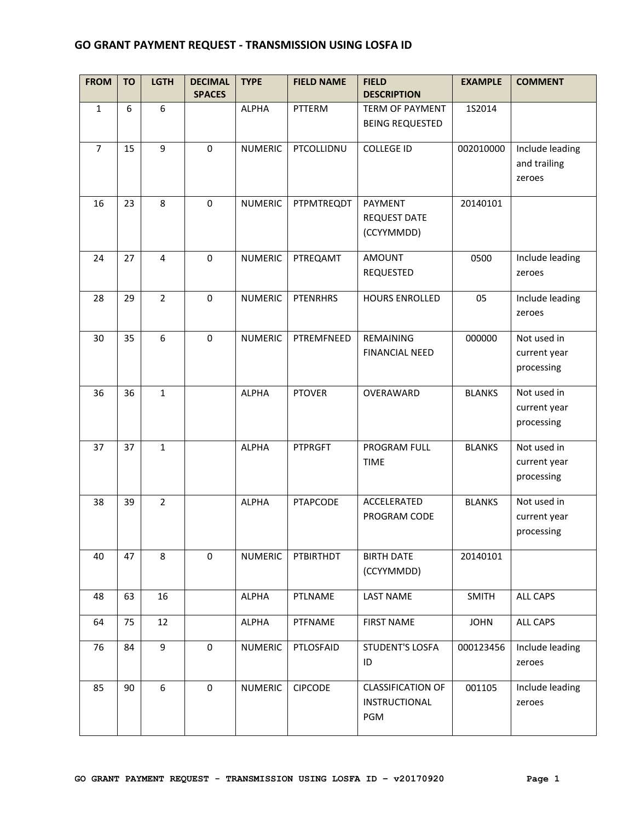## **GO GRANT PAYMENT REQUEST - TRANSMISSION USING LOSFA ID**

| <b>FROM</b>    | <b>TO</b> | <b>LGTH</b>    | <b>DECIMAL</b><br><b>SPACES</b> | <b>TYPE</b>    | <b>FIELD NAME</b> | <b>FIELD</b><br><b>DESCRIPTION</b>                      | <b>EXAMPLE</b> | <b>COMMENT</b>                            |
|----------------|-----------|----------------|---------------------------------|----------------|-------------------|---------------------------------------------------------|----------------|-------------------------------------------|
| $\mathbf{1}$   | 6         | 6              |                                 | ALPHA          | PTTERM            | <b>TERM OF PAYMENT</b><br><b>BEING REQUESTED</b>        | 1S2014         |                                           |
| $\overline{7}$ | 15        | 9              | $\mathbf 0$                     | <b>NUMERIC</b> | PTCOLLIDNU        | <b>COLLEGE ID</b>                                       | 002010000      | Include leading<br>and trailing<br>zeroes |
| 16             | 23        | 8              | $\mathbf 0$                     | <b>NUMERIC</b> | PTPMTREQDT        | PAYMENT<br><b>REQUEST DATE</b><br>(CCYYMMDD)            | 20140101       |                                           |
| 24             | 27        | 4              | $\mathbf 0$                     | <b>NUMERIC</b> | PTREQAMT          | <b>AMOUNT</b><br>REQUESTED                              | 0500           | Include leading<br>zeroes                 |
| 28             | 29        | $\overline{2}$ | $\mathbf 0$                     | <b>NUMERIC</b> | <b>PTENRHRS</b>   | <b>HOURS ENROLLED</b>                                   | 05             | Include leading<br>zeroes                 |
| 30             | 35        | 6              | $\mathbf 0$                     | <b>NUMERIC</b> | PTREMFNEED        | REMAINING<br><b>FINANCIAL NEED</b>                      | 000000         | Not used in<br>current year<br>processing |
| 36             | 36        | $\mathbf{1}$   |                                 | <b>ALPHA</b>   | <b>PTOVER</b>     | OVERAWARD                                               | <b>BLANKS</b>  | Not used in<br>current year<br>processing |
| 37             | 37        | $\mathbf{1}$   |                                 | <b>ALPHA</b>   | <b>PTPRGFT</b>    | PROGRAM FULL<br><b>TIME</b>                             | <b>BLANKS</b>  | Not used in<br>current year<br>processing |
| 38             | 39        | $\overline{2}$ |                                 | <b>ALPHA</b>   | <b>PTAPCODE</b>   | ACCELERATED<br>PROGRAM CODE                             | <b>BLANKS</b>  | Not used in<br>current year<br>processing |
| 40             | 47        | 8              | $\mathbf 0$                     | <b>NUMERIC</b> | PTBIRTHDT         | <b>BIRTH DATE</b><br>(CCYYMMDD)                         | 20140101       |                                           |
| 48             | 63        | 16             |                                 | <b>ALPHA</b>   | PTLNAME           | <b>LAST NAME</b>                                        | <b>SMITH</b>   | ALL CAPS                                  |
| 64             | 75        | 12             |                                 | <b>ALPHA</b>   | PTFNAME           | <b>FIRST NAME</b>                                       | <b>JOHN</b>    | ALL CAPS                                  |
| 76             | 84        | 9              | $\mathbf 0$                     | <b>NUMERIC</b> | PTLOSFAID         | <b>STUDENT'S LOSFA</b><br>ID                            | 000123456      | Include leading<br>zeroes                 |
| 85             | 90        | 6              | $\mathbf 0$                     | <b>NUMERIC</b> | <b>CIPCODE</b>    | <b>CLASSIFICATION OF</b><br><b>INSTRUCTIONAL</b><br>PGM | 001105         | Include leading<br>zeroes                 |